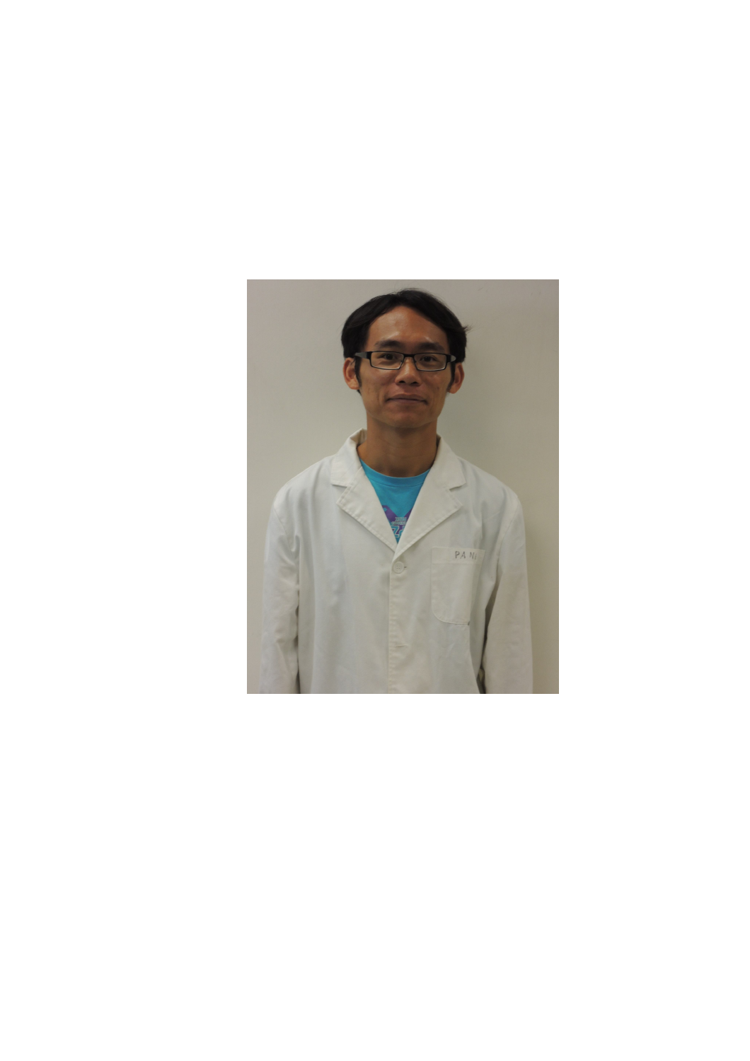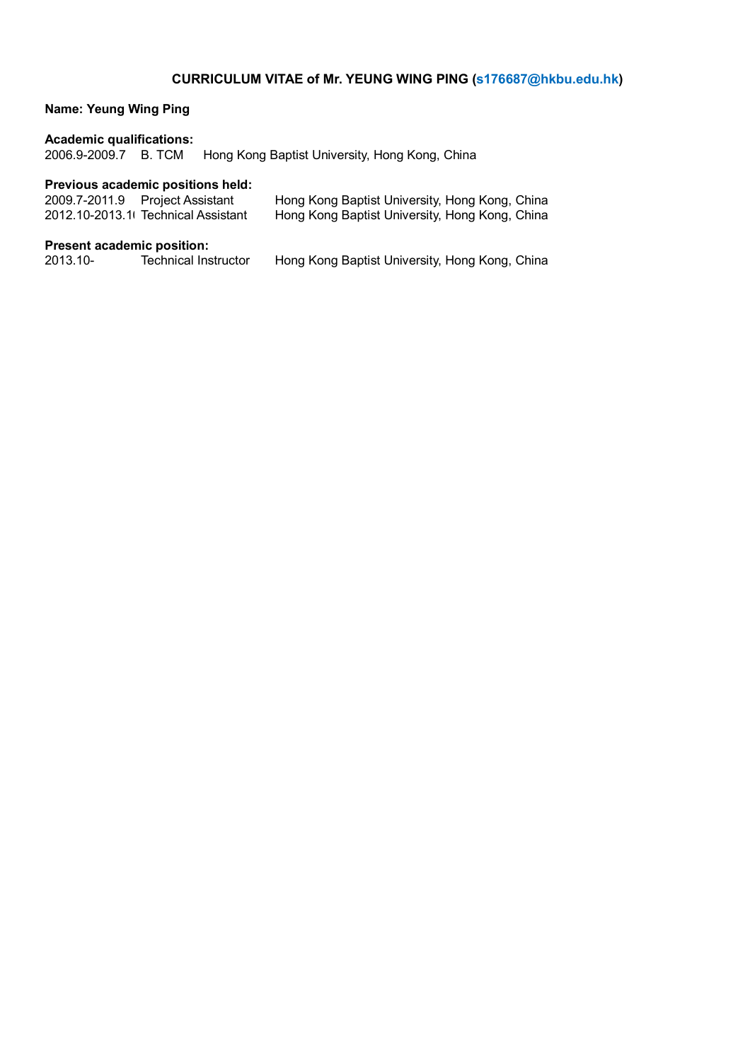# **CURRICULUM VITAE of Mr. YEUNG WING PING (s176687@hkbu.edu.hk)**

## **Name: Yeung Wing Ping**

**Academic qualifications:** Hong Kong Baptist University, Hong Kong, China

### **Previous academic positions held:**

| 2009.7-2011.9 Project Assistant    | Hong Kong Baptist University, Hong Kong, China |  |
|------------------------------------|------------------------------------------------|--|
| 2012.10-2013.1 Technical Assistant | Hong Kong Baptist University, Hong Kong, China |  |

**Present academic position:**<br>2013.10- Technical Instructor Hong Kong Baptist University, Hong Kong, China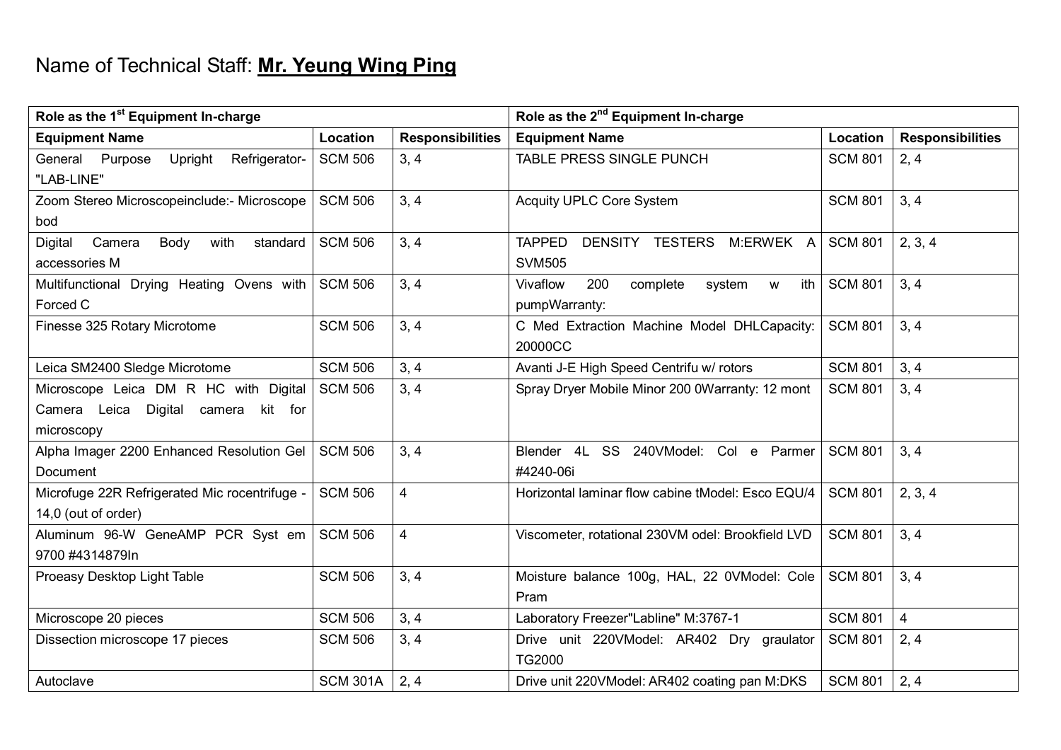| Role as the 1 <sup>st</sup> Equipment In-charge |                 | Role as the 2 <sup>nd</sup> Equipment In-charge |                                                     |                |                         |
|-------------------------------------------------|-----------------|-------------------------------------------------|-----------------------------------------------------|----------------|-------------------------|
| <b>Equipment Name</b>                           | Location        | <b>Responsibilities</b>                         | <b>Equipment Name</b>                               | Location       | <b>Responsibilities</b> |
| General Purpose<br>Upright Refrigerator-        | <b>SCM 506</b>  | 3, 4                                            | TABLE PRESS SINGLE PUNCH                            | <b>SCM 801</b> | 2, 4                    |
| "LAB-LINE"                                      |                 |                                                 |                                                     |                |                         |
| Zoom Stereo Microscopeinclude:- Microscope      | <b>SCM 506</b>  | 3, 4                                            | <b>Acquity UPLC Core System</b>                     | <b>SCM 801</b> | 3, 4                    |
| bod                                             |                 |                                                 |                                                     |                |                         |
| Camera<br>Body<br>with<br>standard<br>Digital   | <b>SCM 506</b>  | 3, 4                                            | <b>TAPPED</b><br>DENSITY TESTERS M:ERWEK A          | <b>SCM 801</b> | 2, 3, 4                 |
| accessories M                                   |                 |                                                 | <b>SVM505</b>                                       |                |                         |
| Multifunctional Drying Heating Ovens with       | <b>SCM 506</b>  | 3, 4                                            | Vivaflow<br>200<br>complete<br>ith I<br>system<br>W | <b>SCM 801</b> | 3, 4                    |
| Forced C                                        |                 |                                                 | pumpWarranty:                                       |                |                         |
| Finesse 325 Rotary Microtome                    | <b>SCM 506</b>  | 3, 4                                            | C Med Extraction Machine Model DHLCapacity:         | <b>SCM 801</b> | 3, 4                    |
|                                                 |                 |                                                 | 20000CC                                             |                |                         |
| Leica SM2400 Sledge Microtome                   | <b>SCM 506</b>  | 3, 4                                            | Avanti J-E High Speed Centrifu w/ rotors            | <b>SCM 801</b> | 3, 4                    |
| Microscope Leica DM R HC with Digital           | <b>SCM 506</b>  | 3, 4                                            | Spray Dryer Mobile Minor 200 0Warranty: 12 mont     | <b>SCM 801</b> | 3, 4                    |
| Camera Leica Digital camera kit for             |                 |                                                 |                                                     |                |                         |
| microscopy                                      |                 |                                                 |                                                     |                |                         |
| Alpha Imager 2200 Enhanced Resolution Gel       | <b>SCM 506</b>  | 3, 4                                            | Blender 4L SS 240VModel: Col e Parmer               | <b>SCM 801</b> | 3, 4                    |
| Document                                        |                 |                                                 | #4240-06i                                           |                |                         |
| Microfuge 22R Refrigerated Mic rocentrifuge -   | <b>SCM 506</b>  | 4                                               | Horizontal laminar flow cabine tModel: Esco EQU/4   | <b>SCM 801</b> | 2, 3, 4                 |
| 14,0 (out of order)                             |                 |                                                 |                                                     |                |                         |
| Aluminum 96-W GeneAMP PCR Syst em               | <b>SCM 506</b>  | $\overline{4}$                                  | Viscometer, rotational 230VM odel: Brookfield LVD   | <b>SCM 801</b> | 3, 4                    |
| 9700 #4314879ln                                 |                 |                                                 |                                                     |                |                         |
| Proeasy Desktop Light Table                     | <b>SCM 506</b>  | 3, 4                                            | Moisture balance 100g, HAL, 22 0VModel: Cole        | <b>SCM 801</b> | 3, 4                    |
|                                                 |                 |                                                 | Pram                                                |                |                         |
| Microscope 20 pieces                            | <b>SCM 506</b>  | 3, 4                                            | Laboratory Freezer"Labline" M:3767-1                | <b>SCM 801</b> | $\overline{4}$          |
| Dissection microscope 17 pieces                 | <b>SCM 506</b>  | 3, 4                                            | Drive unit 220VModel: AR402 Dry graulator           | <b>SCM 801</b> | 2, 4                    |
|                                                 |                 |                                                 | <b>TG2000</b>                                       |                |                         |
| Autoclave                                       | <b>SCM 301A</b> | 2, 4                                            | Drive unit 220VModel: AR402 coating pan M:DKS       | <b>SCM 801</b> | 2, 4                    |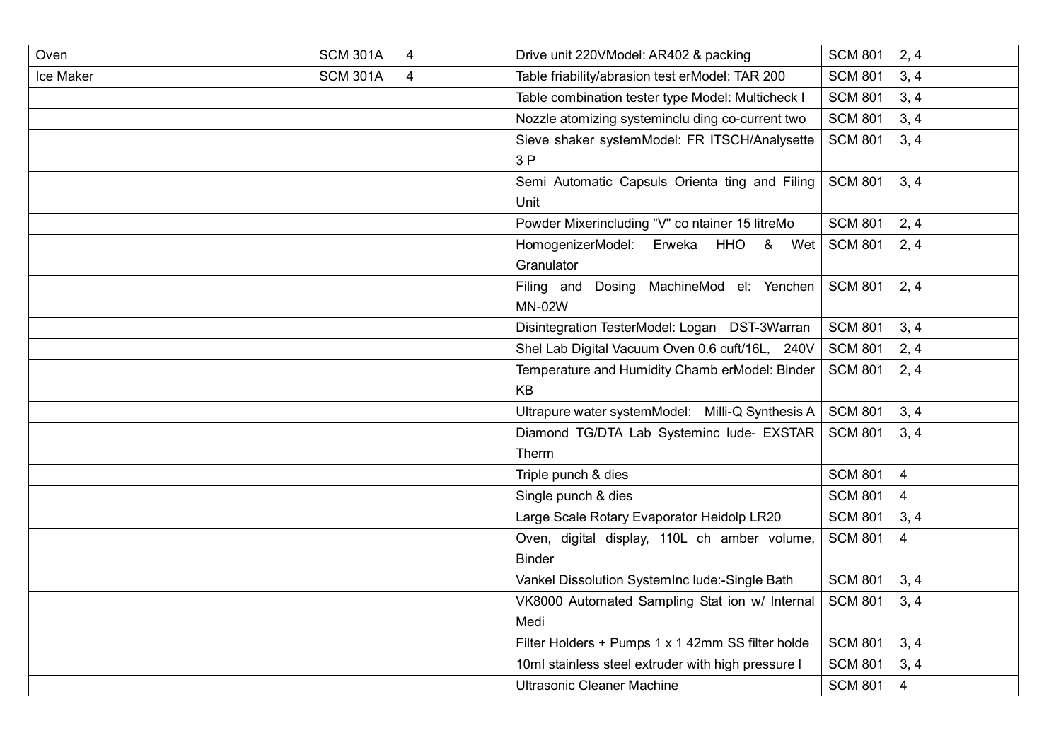| Oven      | <b>SCM 301A</b> | 4 | Drive unit 220VModel: AR402 & packing              | <b>SCM 801</b> | 2, 4                    |
|-----------|-----------------|---|----------------------------------------------------|----------------|-------------------------|
| Ice Maker | <b>SCM 301A</b> | 4 | Table friability/abrasion test erModel: TAR 200    | <b>SCM 801</b> | 3, 4                    |
|           |                 |   | Table combination tester type Model: Multicheck I  | <b>SCM 801</b> | 3, 4                    |
|           |                 |   | Nozzle atomizing systeminclu ding co-current two   | <b>SCM 801</b> | 3, 4                    |
|           |                 |   | Sieve shaker systemModel: FR ITSCH/Analysette      | <b>SCM 801</b> | 3, 4                    |
|           |                 |   | 3P                                                 |                |                         |
|           |                 |   | Semi Automatic Capsuls Orienta ting and Filing     | <b>SCM 801</b> | 3, 4                    |
|           |                 |   | Unit                                               |                |                         |
|           |                 |   | Powder Mixerincluding "V" co ntainer 15 litreMo    | <b>SCM 801</b> | 2, 4                    |
|           |                 |   | HomogenizerModel: Erweka HHO & Wet                 | <b>SCM 801</b> | 2, 4                    |
|           |                 |   | Granulator                                         |                |                         |
|           |                 |   | Filing and Dosing MachineMod el: Yenchen           | <b>SCM 801</b> | 2, 4                    |
|           |                 |   | <b>MN-02W</b>                                      |                |                         |
|           |                 |   | Disintegration TesterModel: Logan DST-3Warran      | <b>SCM 801</b> | 3, 4                    |
|           |                 |   | Shel Lab Digital Vacuum Oven 0.6 cuft/16L, 240V    | <b>SCM 801</b> | 2, 4                    |
|           |                 |   | Temperature and Humidity Chamb erModel: Binder     | <b>SCM 801</b> | 2, 4                    |
|           |                 |   | <b>KB</b>                                          |                |                         |
|           |                 |   | Ultrapure water systemModel: Milli-Q Synthesis A   | <b>SCM 801</b> | 3, 4                    |
|           |                 |   | Diamond TG/DTA Lab Systeminc lude- EXSTAR          | <b>SCM 801</b> | 3, 4                    |
|           |                 |   | Therm                                              |                |                         |
|           |                 |   | Triple punch & dies                                | <b>SCM 801</b> | $\overline{4}$          |
|           |                 |   | Single punch & dies                                | <b>SCM 801</b> | $\overline{4}$          |
|           |                 |   | Large Scale Rotary Evaporator Heidolp LR20         | <b>SCM 801</b> | 3, 4                    |
|           |                 |   | Oven, digital display, 110L ch amber volume,       | <b>SCM 801</b> | 4                       |
|           |                 |   | <b>Binder</b>                                      |                |                         |
|           |                 |   | Vankel Dissolution SystemInc lude:-Single Bath     | <b>SCM 801</b> | 3, 4                    |
|           |                 |   | VK8000 Automated Sampling Stat ion w/ Internal     | <b>SCM 801</b> | 3, 4                    |
|           |                 |   | Medi                                               |                |                         |
|           |                 |   | Filter Holders + Pumps 1 x 1 42mm SS filter holde  | <b>SCM 801</b> | 3, 4                    |
|           |                 |   | 10ml stainless steel extruder with high pressure I | <b>SCM 801</b> | 3, 4                    |
|           |                 |   | <b>Ultrasonic Cleaner Machine</b>                  | <b>SCM 801</b> | $\overline{\mathbf{4}}$ |